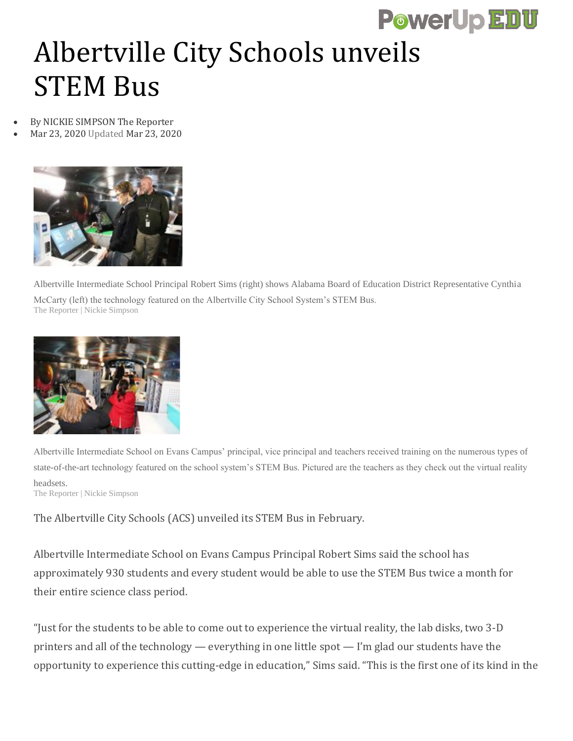## **PowerUp EDU**

## Albertville City Schools unveils STEM Bus

- By NICKIE SIMPSON The Reporter
	- Mar 23, 2020 Updated Mar 23, 2020



Albertville Intermediate School Principal Robert Sims (right) shows Alabama Board of Education District Representative Cynthia McCarty (left) the technology featured on the Albertville City School System's STEM Bus. The Reporter | Nickie Simpson



Albertville Intermediate School on Evans Campus' principal, vice principal and teachers received training on the numerous types of state-of-the-art technology featured on the school system's STEM Bus. Pictured are the teachers as they check out the virtual reality headsets. The Reporter | Nickie Simpson

The Albertville City Schools (ACS) unveiled its STEM Bus in February.

Albertville Intermediate School on Evans Campus Principal Robert Sims said the school has approximately 930 students and every student would be able to use the STEM Bus twice a month for their entire science class period.

"Just for the students to be able to come out to experience the virtual reality, the lab disks, two 3-D printers and all of the technology — everything in one little spot — I'm glad our students have the opportunity to experience this cutting-edge in education," Sims said. "This is the first one of its kind in the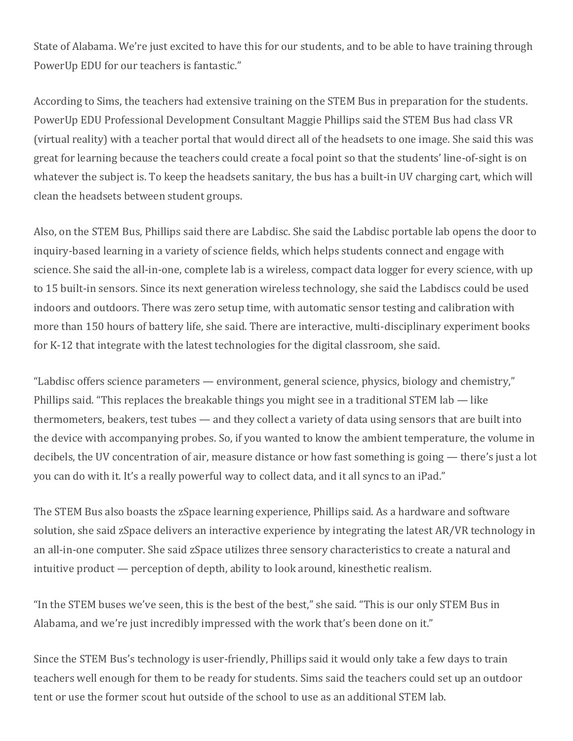State of Alabama. We're just excited to have this for our students, and to be able to have training through PowerUp EDU for our teachers is fantastic."

According to Sims, the teachers had extensive training on the STEM Bus in preparation for the students. PowerUp EDU Professional Development Consultant Maggie Phillips said the STEM Bus had class VR (virtual reality) with a teacher portal that would direct all of the headsets to one image. She said this was great for learning because the teachers could create a focal point so that the students' line-of-sight is on whatever the subject is. To keep the headsets sanitary, the bus has a built-in UV charging cart, which will clean the headsets between student groups.

Also, on the STEM Bus, Phillips said there are Labdisc. She said the Labdisc portable lab opens the door to inquiry-based learning in a variety of science fields, which helps students connect and engage with science. She said the all-in-one, complete lab is a wireless, compact data logger for every science, with up to 15 built-in sensors. Since its next generation wireless technology, she said the Labdiscs could be used indoors and outdoors. There was zero setup time, with automatic sensor testing and calibration with more than 150 hours of battery life, she said. There are interactive, multi-disciplinary experiment books for K-12 that integrate with the latest technologies for the digital classroom, she said.

"Labdisc offers science parameters — environment, general science, physics, biology and chemistry," Phillips said. "This replaces the breakable things you might see in a traditional STEM lab — like thermometers, beakers, test tubes — and they collect a variety of data using sensors that are built into the device with accompanying probes. So, if you wanted to know the ambient temperature, the volume in decibels, the UV concentration of air, measure distance or how fast something is going — there's just a lot you can do with it. It's a really powerful way to collect data, and it all syncs to an iPad."

The STEM Bus also boasts the zSpace learning experience, Phillips said. As a hardware and software solution, she said zSpace delivers an interactive experience by integrating the latest AR/VR technology in an all-in-one computer. She said zSpace utilizes three sensory characteristics to create a natural and intuitive product — perception of depth, ability to look around, kinesthetic realism.

"In the STEM buses we've seen, this is the best of the best," she said. "This is our only STEM Bus in Alabama, and we're just incredibly impressed with the work that's been done on it."

Since the STEM Bus's technology is user-friendly, Phillips said it would only take a few days to train teachers well enough for them to be ready for students. Sims said the teachers could set up an outdoor tent or use the former scout hut outside of the school to use as an additional STEM lab.